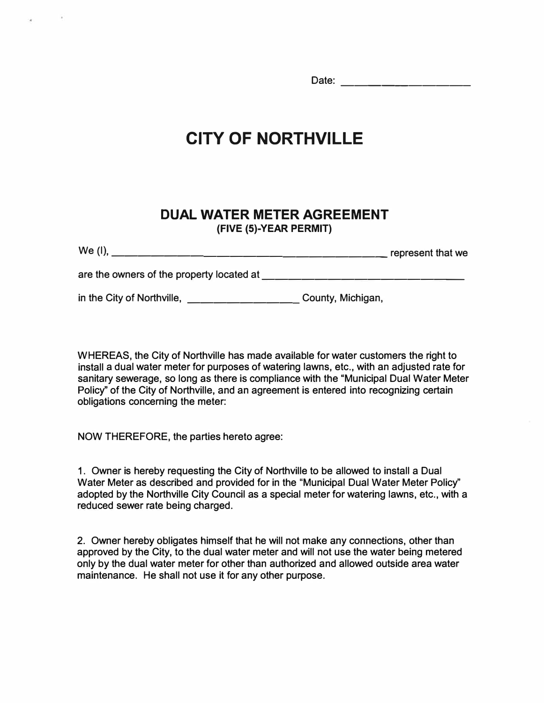Date: experience of the set of the set of the set of the set of the set of the set of the set of the set of the set of the set of the set of the set of the set of the set of the set of the set of the set of the set of the

## **CITY OF NORTHVILLE**

## **DUAL WATER METER AGREEMENT (FIVE (5)-YEAR PERMIT)**

| We (I).                                   | represent that we |
|-------------------------------------------|-------------------|
| are the owners of the property located at |                   |
| in the City of Northville,                | County, Michigan, |

WHEREAS, the City of Northville has made available for water customers the right to install a dual water meter for purposes of watering lawns, etc., with an adjusted rate for sanitary sewerage, so long as there is compliance with the "Municipal Dual Water Meter Policy" of the City of Northville, and an agreement is entered into recognizing certain obligations concerning the meter:

NOW THEREFORE, the parties hereto agree:

1 . Owner is hereby requesting the City of Northville to be allowed to install a Dual Water Meter as described and provided for in the "Municipal Dual Water Meter Policy'' adopted by the Northville City Council as a special meter for watering lawns, etc., with a reduced sewer rate being charged.

2. Owner hereby obligates himself that he will not make any connections, other than approved by the City, to the dual water meter and will not use the water being metered only by the dual water meter for other than authorized and allowed outside area water maintenance. He shall not use it for any other purpose.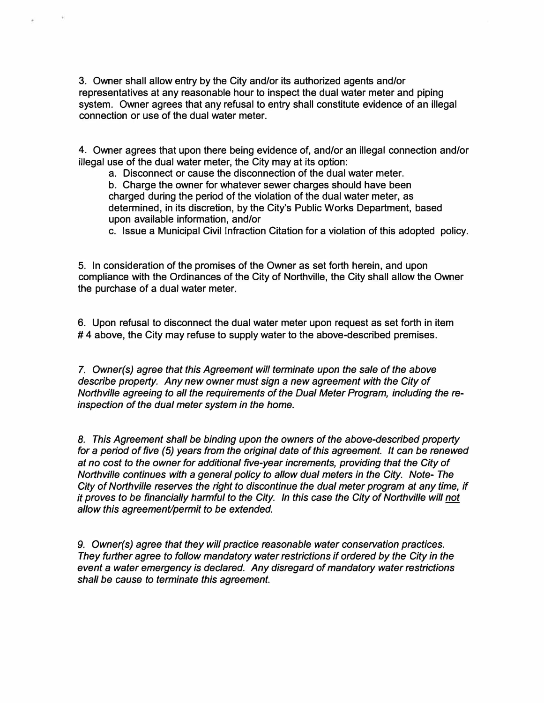3. Owner shall allow entry by the City and/or its authorized agents and/or representatives at any reasonable hour to inspect the dual water meter and piping system. Owner agrees that any refusal to entry shall constitute evidence of an illegal connection or use of the dual water meter.

4. Owner agrees that upon there being evidence of, and/or an illegal connection and/or illegal use of the dual water meter, the City may at its option:

a. Disconnect or cause the disconnection of the dual water meter.

b. Charge the owner for whatever sewer charges should have been charged during the period of the violation of the dual water meter, as determined, in its discretion, by the City's Public Works Department, based upon available information, and/or

c. Issue a Municipal Civil Infraction Citation for a violation of this adopted policy.

5. In consideration of the promises of the Owner as set forth herein, and upon compliance with the Ordinances of the City of Northville, the City shall allow the Owner the purchase of a dual water meter.

6. Upon refusal to disconnect the dual water meter upon request as set forth in item #4 above, the City may refuse to supply water to the above-described premises.

7. *Owner(s) agree that this Agreement will terminate upon the sale of the above describe property. Any new owner must sign a new agreement with the City of Northville agreeing to all the requirements of the Dual Meter Program, including the reinspection of the dual meter system in the home.* 

*8. This Agreement shall be binding upon the owners of the above-described property for* a *period of five (5) years from the original date of this agreement. It can be renewed at no cost to the owner for additional five-year increments, providing that the City of Northville continues with* a *general policy to allow dual meters in the City. Note- The City of Northville reserves the right to discontinue the dual meter program at any time, if it proves to be financially harmful to the City. In this case the City of Northville will not allow this agreement/permit to be extended.* 

9. *Owner(s) agree that they will practice reasonable water conservation practices. They further agree to follow mandatory water restrictions if ordered by the City in the event* a *water emergency is declared. Any disregard of mandatory water restrictions shall be cause to terminate this agreement.*